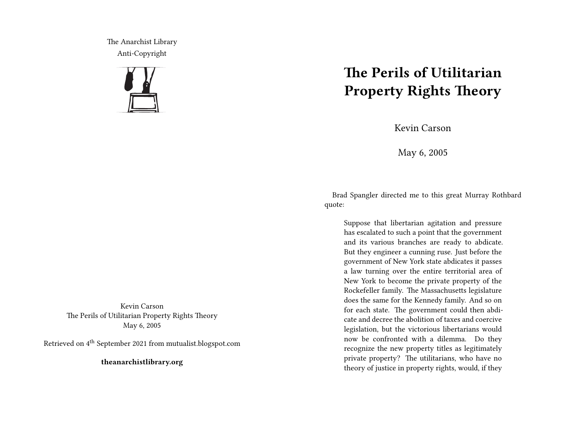The Anarchist Library Anti-Copyright



Kevin Carson The Perils of Utilitarian Property Rights Theory May 6, 2005

Retrieved on 4th September 2021 from mutualist.blogspot.com

**theanarchistlibrary.org**

## **The Perils of Utilitarian Property Rights Theory**

Kevin Carson

May 6, 2005

Brad Spangler directed me to this great Murray Rothbard quote:

Suppose that libertarian agitation and pressure has escalated to such a point that the government and its various branches are ready to abdicate. But they engineer a cunning ruse. Just before the government of New York state abdicates it passes a law turning over the entire territorial area of New York to become the private property of the Rockefeller family. The Massachusetts legislature does the same for the Kennedy family. And so on for each state. The government could then abdicate and decree the abolition of taxes and coercive legislation, but the victorious libertarians would now be confronted with a dilemma. Do they recognize the new property titles as legitimately private property? The utilitarians, who have no theory of justice in property rights, would, if they